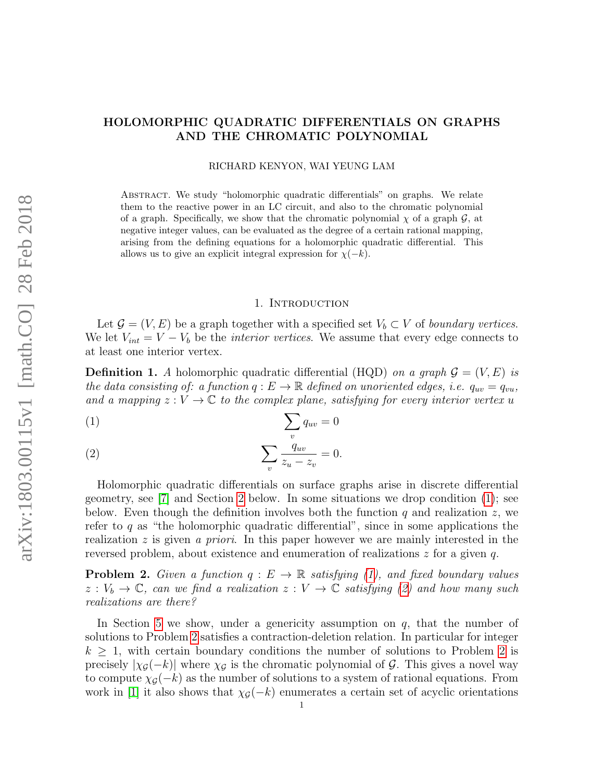# HOLOMORPHIC QUADRATIC DIFFERENTIALS ON GRAPHS AND THE CHROMATIC POLYNOMIAL

RICHARD KENYON, WAI YEUNG LAM

Abstract. We study "holomorphic quadratic differentials" on graphs. We relate them to the reactive power in an LC circuit, and also to the chromatic polynomial of a graph. Specifically, we show that the chromatic polynomial  $\chi$  of a graph  $\mathcal{G}$ , at negative integer values, can be evaluated as the degree of a certain rational mapping, arising from the defining equations for a holomorphic quadratic differential. This allows us to give an explicit integral expression for  $\chi(-k)$ .

#### 1. INTRODUCTION

Let  $\mathcal{G} = (V, E)$  be a graph together with a specified set  $V_b \subset V$  of boundary vertices. We let  $V_{int} = V - V_b$  be the *interior vertices*. We assume that every edge connects to at least one interior vertex.

**Definition 1.** A holomorphic quadratic differential (HQD) on a graph  $\mathcal{G} = (V, E)$  is the data consisting of: a function  $q : E \to \mathbb{R}$  defined on unoriented edges, i.e.  $q_{uv} = q_{vu}$ , and a mapping  $z: V \to \mathbb{C}$  to the complex plane, satisfying for every interior vertex u

<span id="page-0-0"></span>
$$
\sum_{v} q_{uv} = 0
$$

<span id="page-0-1"></span>
$$
\sum_{v} \frac{q_{uv}}{z_u - z_v} = 0.
$$

Holomorphic quadratic differentials on surface graphs arise in discrete differential geometry, see [\[7\]](#page-11-0) and Section [2](#page-1-0) below. In some situations we drop condition [\(1\)](#page-0-0); see below. Even though the definition involves both the function q and realization z, we refer to  $q$  as "the holomorphic quadratic differential", since in some applications the realization  $z$  is given a priori. In this paper however we are mainly interested in the reversed problem, about existence and enumeration of realizations z for a given q.

<span id="page-0-2"></span>**Problem 2.** Given a function  $q : E \to \mathbb{R}$  satisfying [\(1\)](#page-0-0), and fixed boundary values  $z: V_b \to \mathbb{C}$ , can we find a realization  $z: V \to \mathbb{C}$  satisfying [\(2\)](#page-0-1) and how many such realizations are there?

In Section [5](#page-6-0) we show, under a genericity assumption on  $q$ , that the number of solutions to Problem [2](#page-0-2) satisfies a contraction-deletion relation. In particular for integer  $k \geq 1$ , with certain boundary conditions the number of solutions to Problem [2](#page-0-2) is precisely  $|\chi_{\mathcal{G}}(-k)|$  where  $\chi_{\mathcal{G}}$  is the chromatic polynomial of  $\mathcal{G}$ . This gives a novel way to compute  $\chi_{\mathcal{G}}(-k)$  as the number of solutions to a system of rational equations. From work in [\[1\]](#page-10-0) it also shows that  $\chi_{\mathcal{G}}(-k)$  enumerates a certain set of acyclic orientations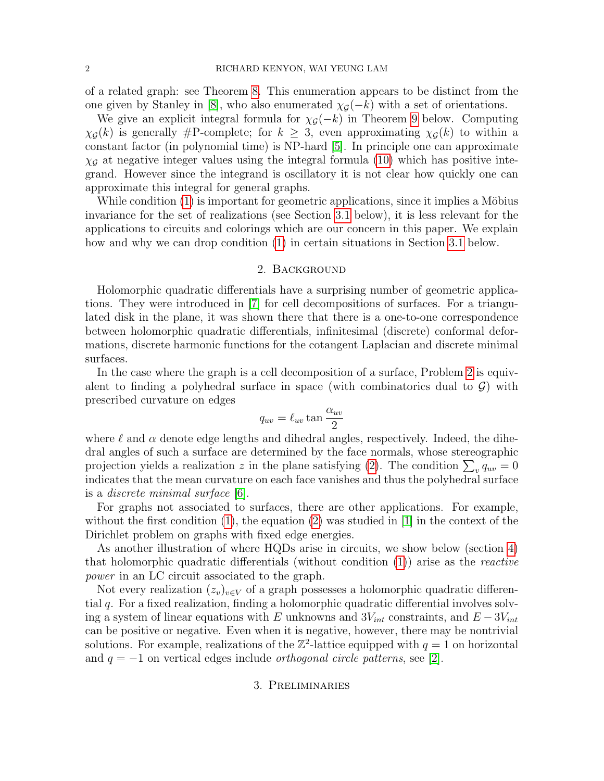of a related graph: see Theorem [8.](#page-8-0) This enumeration appears to be distinct from the one given by Stanley in [\[8\]](#page-11-1), who also enumerated  $\chi_{\mathcal{G}}(-k)$  with a set of orientations.

We give an explicit integral formula for  $\chi_{\mathcal{G}}(-k)$  in Theorem [9](#page-9-0) below. Computing  $\chi_{\mathcal{G}}(k)$  is generally #P-complete; for  $k \geq 3$ , even approximating  $\chi_{\mathcal{G}}(k)$  to within a constant factor (in polynomial time) is NP-hard [\[5\]](#page-10-1). In principle one can approximate  $\chi_{\mathcal{G}}$  at negative integer values using the integral formula [\(10\)](#page-9-1) which has positive integrand. However since the integrand is oscillatory it is not clear how quickly one can approximate this integral for general graphs.

While condition  $(1)$  is important for geometric applications, since it implies a Möbius invariance for the set of realizations (see Section [3.1](#page-1-1) below), it is less relevant for the applications to circuits and colorings which are our concern in this paper. We explain how and why we can drop condition [\(1\)](#page-0-0) in certain situations in Section [3.1](#page-1-1) below.

#### 2. Background

<span id="page-1-0"></span>Holomorphic quadratic differentials have a surprising number of geometric applications. They were introduced in [\[7\]](#page-11-0) for cell decompositions of surfaces. For a triangulated disk in the plane, it was shown there that there is a one-to-one correspondence between holomorphic quadratic differentials, infinitesimal (discrete) conformal deformations, discrete harmonic functions for the cotangent Laplacian and discrete minimal surfaces.

In the case where the graph is a cell decomposition of a surface, Problem [2](#page-0-2) is equivalent to finding a polyhedral surface in space (with combinatorics dual to  $\mathcal{G}$ ) with prescribed curvature on edges

$$
q_{uv} = \ell_{uv} \tan \frac{\alpha_{uv}}{2}
$$

where  $\ell$  and  $\alpha$  denote edge lengths and dihedral angles, respectively. Indeed, the dihedral angles of such a surface are determined by the face normals, whose stereographic projection yields a realization z in the plane satisfying [\(2\)](#page-0-1). The condition  $\sum_{v} q_{uv} = 0$ indicates that the mean curvature on each face vanishes and thus the polyhedral surface is a discrete minimal surface [\[6\]](#page-10-2).

For graphs not associated to surfaces, there are other applications. For example, without the first condition  $(1)$ , the equation  $(2)$  was studied in [\[1\]](#page-10-0) in the context of the Dirichlet problem on graphs with fixed edge energies.

As another illustration of where HQDs arise in circuits, we show below (section [4\)](#page-4-0) that holomorphic quadratic differentials (without condition  $(1)$ ) arise as the *reactive* power in an LC circuit associated to the graph.

<span id="page-1-1"></span>Not every realization  $(z_v)_{v\in V}$  of a graph possesses a holomorphic quadratic differential q. For a fixed realization, finding a holomorphic quadratic differential involves solving a system of linear equations with E unknowns and  $3V_{int}$  constraints, and  $E - 3V_{int}$ can be positive or negative. Even when it is negative, however, there may be nontrivial solutions. For example, realizations of the  $\mathbb{Z}^2$ -lattice equipped with  $q=1$  on horizontal and  $q = -1$  on vertical edges include *orthogonal circle patterns*, see [\[2\]](#page-10-3).

### 3. Preliminaries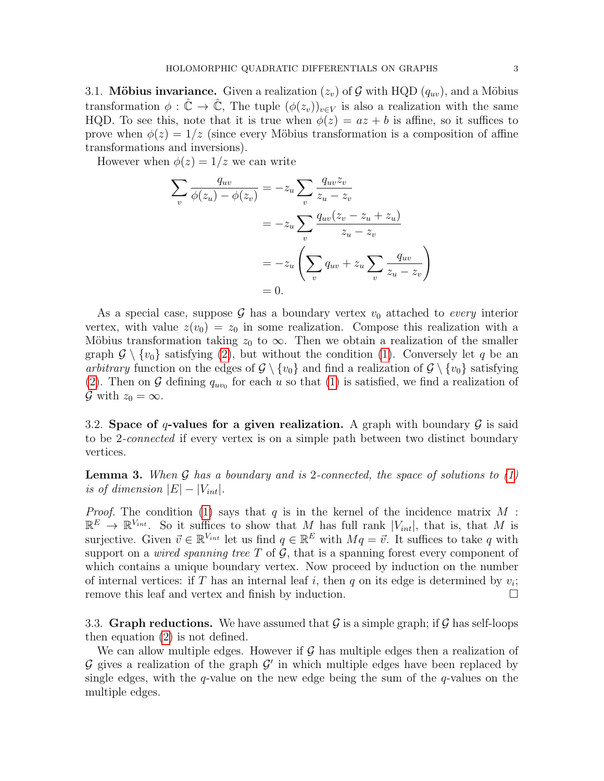3.1. Möbius invariance. Given a realization  $(z_v)$  of G with HQD  $(q_{uv})$ , and a Möbius transformation  $\phi : \hat{\mathbb{C}} \to \hat{\mathbb{C}}$ , The tuple  $(\phi(z_v))_{v \in V}$  is also a realization with the same HQD. To see this, note that it is true when  $\phi(z) = az + b$  is affine, so it suffices to prove when  $\phi(z) = 1/z$  (since every Möbius transformation is a composition of affine transformations and inversions).

However when  $\phi(z) = 1/z$  we can write

$$
\sum_{v} \frac{q_{uv}}{\phi(z_u) - \phi(z_v)} = -z_u \sum_{v} \frac{q_{uv}z_v}{z_u - z_v}
$$

$$
= -z_u \sum_{v} \frac{q_{uv}(z_v - z_u + z_u)}{z_u - z_v}
$$

$$
= -z_u \left( \sum_{v} q_{uv} + z_u \sum_{v} \frac{q_{uv}}{z_u - z_v} \right)
$$

$$
= 0.
$$

As a special case, suppose G has a boundary vertex  $v_0$  attached to *every* interior vertex, with value  $z(v_0) = z_0$  in some realization. Compose this realization with a Möbius transformation taking  $z_0$  to  $\infty$ . Then we obtain a realization of the smaller graph  $\mathcal{G} \setminus \{v_0\}$  satisfying [\(2\)](#page-0-1), but without the condition [\(1\)](#page-0-0). Conversely let q be an arbitrary function on the edges of  $\mathcal{G} \setminus \{v_0\}$  and find a realization of  $\mathcal{G} \setminus \{v_0\}$  satisfying [\(2\)](#page-0-1). Then on G defining  $q_{uv_0}$  for each u so that [\(1\)](#page-0-0) is satisfied, we find a realization of  $\mathcal G$  with  $z_0 = \infty$ .

3.2. Space of q-values for a given realization. A graph with boundary  $\mathcal G$  is said to be 2-connected if every vertex is on a simple path between two distinct boundary vertices.

<span id="page-2-0"></span>**Lemma 3.** When  $\mathcal G$  has a boundary and is 2-connected, the space of solutions to [\(1\)](#page-0-0) is of dimension  $|E| - |V_{int}|$ .

*Proof.* The condition [\(1\)](#page-0-0) says that q is in the kernel of the incidence matrix  $M$ :  $\mathbb{R}^E \to \mathbb{R}^{V_{int}}$ . So it suffices to show that M has full rank  $|V_{int}|$ , that is, that M is surjective. Given  $\vec{v} \in \mathbb{R}^{V_{int}}$  let us find  $q \in \mathbb{R}^{E}$  with  $Mq = \vec{v}$ . It suffices to take q with support on a *wired spanning tree*  $T$  of  $\mathcal{G}$ , that is a spanning forest every component of which contains a unique boundary vertex. Now proceed by induction on the number of internal vertices: if T has an internal leaf i, then q on its edge is determined by  $v_i$ ; remove this leaf and vertex and finish by induction.

3.3. Graph reductions. We have assumed that  $\mathcal G$  is a simple graph; if  $\mathcal G$  has self-loops then equation [\(2\)](#page-0-1) is not defined.

We can allow multiple edges. However if  $\mathcal G$  has multiple edges then a realization of  $\mathcal G$  gives a realization of the graph  $\mathcal G'$  in which multiple edges have been replaced by single edges, with the q-value on the new edge being the sum of the  $q$ -values on the multiple edges.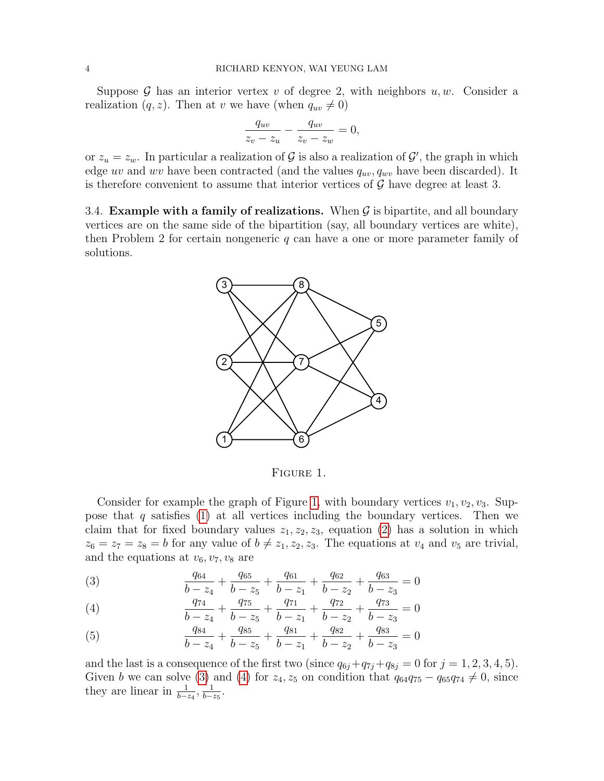Suppose  $\mathcal G$  has an interior vertex v of degree 2, with neighbors  $u, w$ . Consider a realization  $(q, z)$ . Then at v we have (when  $q_{uv} \neq 0$ )

$$
\frac{q_{uv}}{z_v - z_u} - \frac{q_{uv}}{z_v - z_w} = 0,
$$

or  $z_u = z_w$ . In particular a realization of G is also a realization of G', the graph in which edge uv and wv have been contracted (and the values  $q_{uv}, q_{uv}$  have been discarded). It is therefore convenient to assume that interior vertices of  $\mathcal G$  have degree at least 3.

3.4. Example with a family of realizations. When  $G$  is bipartite, and all boundary vertices are on the same side of the bipartition (say, all boundary vertices are white), then Problem 2 for certain nongeneric  $q$  can have a one or more parameter family of solutions.



<span id="page-3-0"></span>Figure 1.

Consider for example the graph of Figure [1,](#page-3-0) with boundary vertices  $v_1, v_2, v_3$ . Suppose that  $q$  satisfies [\(1\)](#page-0-0) at all vertices including the boundary vertices. Then we claim that for fixed boundary values  $z_1, z_2, z_3$ , equation [\(2\)](#page-0-1) has a solution in which  $z_6 = z_7 = z_8 = b$  for any value of  $b \neq z_1, z_2, z_3$ . The equations at  $v_4$  and  $v_5$  are trivial, and the equations at  $v_6, v_7, v_8$  are

<span id="page-3-1"></span>(3) 
$$
\frac{q_{64}}{b-z_4} + \frac{q_{65}}{b-z_5} + \frac{q_{61}}{b-z_1} + \frac{q_{62}}{b-z_2} + \frac{q_{63}}{b-z_3} = 0
$$

<span id="page-3-2"></span>(4) 
$$
\frac{q_{74}}{b-z_4} + \frac{q_{75}}{b-z_5} + \frac{q_{71}}{b-z_1} + \frac{q_{72}}{b-z_2} + \frac{q_{73}}{b-z_3} = 0
$$

(5) 
$$
\frac{q_{84}}{b - z_4} + \frac{q_{85}}{b - z_5} + \frac{q_{81}}{b - z_1} + \frac{q_{82}}{b - z_2} + \frac{q_{83}}{b - z_3} = 0
$$

and the last is a consequence of the first two (since  $q_{6j}+q_{7j}+q_{8j}=0$  for  $j=1,2,3,4,5$ ). Given b we can solve [\(3\)](#page-3-1) and [\(4\)](#page-3-2) for  $z_4$ ,  $z_5$  on condition that  $q_{64}q_{75} - q_{65}q_{74} \neq 0$ , since they are linear in  $\frac{1}{b-z_4}$ ,  $\frac{1}{b-z_4}$  $\frac{1}{b-z_5}$ .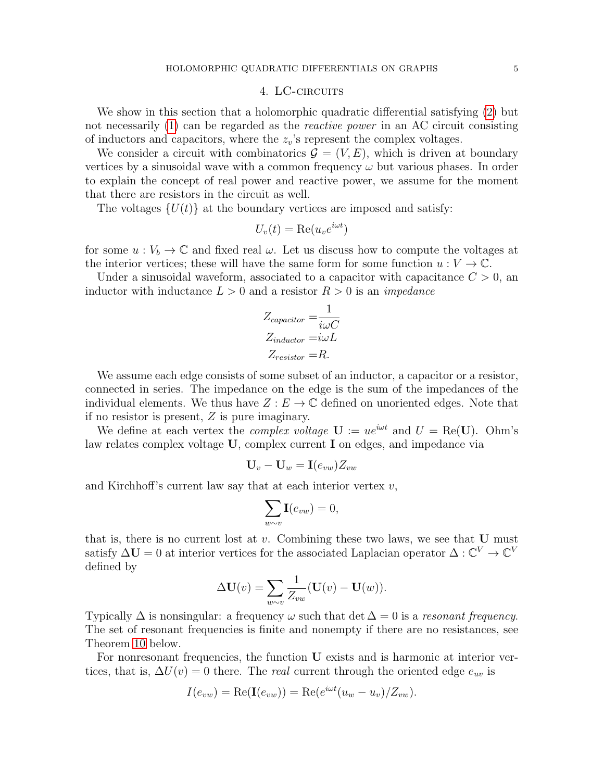### 4. LC-CIRCUITS

<span id="page-4-0"></span>We show in this section that a holomorphic quadratic differential satisfying [\(2\)](#page-0-1) but not necessarily [\(1\)](#page-0-0) can be regarded as the reactive power in an AC circuit consisting of inductors and capacitors, where the  $z_v$ 's represent the complex voltages.

We consider a circuit with combinatorics  $\mathcal{G} = (V, E)$ , which is driven at boundary vertices by a sinusoidal wave with a common frequency  $\omega$  but various phases. In order to explain the concept of real power and reactive power, we assume for the moment that there are resistors in the circuit as well.

The voltages  $\{U(t)\}\$ at the boundary vertices are imposed and satisfy:

$$
U_v(t) = \text{Re}(u_v e^{i\omega t})
$$

for some  $u: V_b \to \mathbb{C}$  and fixed real  $\omega$ . Let us discuss how to compute the voltages at the interior vertices; these will have the same form for some function  $u: V \to \mathbb{C}$ .

Under a sinusoidal waveform, associated to a capacitor with capacitance  $C > 0$ , an inductor with inductance  $L > 0$  and a resistor  $R > 0$  is an *impedance* 

$$
Z_{capacitor} = \frac{1}{i\omega C}
$$

$$
Z_{inductor} = i\omega L
$$

$$
Z_{resistor} = R.
$$

We assume each edge consists of some subset of an inductor, a capacitor or a resistor, connected in series. The impedance on the edge is the sum of the impedances of the individual elements. We thus have  $Z : E \to \mathbb{C}$  defined on unoriented edges. Note that if no resistor is present, Z is pure imaginary.

We define at each vertex the *complex voltage*  $U := ue^{i\omega t}$  and  $U = \text{Re}(U)$ . Ohm's law relates complex voltage U, complex current I on edges, and impedance via

$$
\mathbf{U}_v - \mathbf{U}_w = \mathbf{I}(e_{vw}) Z_{vw}
$$

and Kirchhoff's current law say that at each interior vertex  $v$ ,

$$
\sum_{w \sim v} \mathbf{I}(e_{vw}) = 0,
$$

that is, there is no current lost at  $v$ . Combining these two laws, we see that  **must** satisfy  $\Delta U = 0$  at interior vertices for the associated Laplacian operator  $\Delta : \mathbb{C}^V \to \mathbb{C}^V$ defined by

$$
\Delta \mathbf{U}(v) = \sum_{w \sim v} \frac{1}{Z_{vw}} (\mathbf{U}(v) - \mathbf{U}(w)).
$$

Typically  $\Delta$  is nonsingular: a frequency  $\omega$  such that det  $\Delta = 0$  is a resonant frequency. The set of resonant frequencies is finite and nonempty if there are no resistances, see Theorem [10](#page-10-4) below.

For nonresonant frequencies, the function U exists and is harmonic at interior vertices, that is,  $\Delta U(v) = 0$  there. The *real* current through the oriented edge  $e_{uv}$  is

$$
I(e_{vw}) = \text{Re}(\mathbf{I}(e_{vw})) = \text{Re}(e^{i\omega t}(u_w - u_v)/Z_{vw}).
$$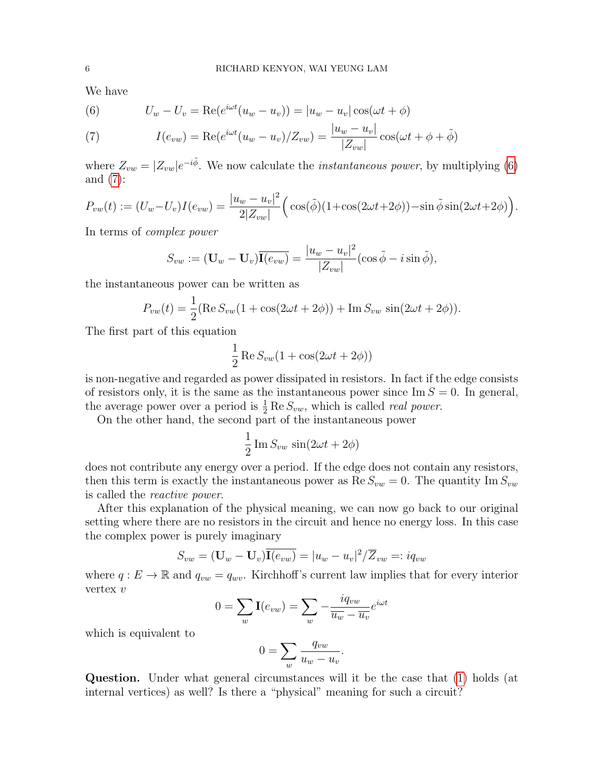We have

<span id="page-5-0"></span>(6) 
$$
U_w - U_v = \text{Re}(e^{i\omega t}(u_w - u_v)) = |u_w - u_v|\cos(\omega t + \phi)
$$

<span id="page-5-1"></span>(7) 
$$
I(e_{vw}) = \text{Re}(e^{i\omega t}(u_w - u_v)/Z_{vw}) = \frac{|u_w - u_v|}{|Z_{vw}|}\cos(\omega t + \phi + \tilde{\phi})
$$

where  $Z_{vw} = |Z_{vw}|e^{-i\tilde{\phi}}$ . We now calculate the *instantaneous power*, by multiplying [\(6\)](#page-5-0) and  $(7)$ :

$$
P_{vw}(t) := (U_w - U_v)I(e_{vw}) = \frac{|u_w - u_v|^2}{2|Z_{vw}|}\Big(\cos(\tilde{\phi})(1 + \cos(2\omega t + 2\phi)) - \sin\tilde{\phi}\sin(2\omega t + 2\phi)\Big).
$$

In terms of complex power

$$
S_{vw} := (\mathbf{U}_w - \mathbf{U}_v) \overline{\mathbf{I}(e_{vw})} = \frac{|u_w - u_v|^2}{|Z_{vw}|} (\cos \tilde{\phi} - i \sin \tilde{\phi}),
$$

the instantaneous power can be written as

$$
P_{vw}(t) = \frac{1}{2} (\text{Re}\, S_{vw}(1 + \cos(2\omega t + 2\phi)) + \text{Im}\, S_{vw} \, \sin(2\omega t + 2\phi)).
$$

The first part of this equation

$$
\frac{1}{2}\operatorname{Re}S_{vw}(1+\cos(2\omega t+2\phi))
$$

is non-negative and regarded as power dissipated in resistors. In fact if the edge consists of resistors only, it is the same as the instantaneous power since  $\text{Im } S = 0$ . In general, the average power over a period is  $\frac{1}{2}$  Re  $S_{vw}$ , which is called *real power*.

On the other hand, the second part of the instantaneous power

$$
\frac{1}{2}\operatorname{Im} S_{vw}\sin(2\omega t + 2\phi)
$$

does not contribute any energy over a period. If the edge does not contain any resistors, then this term is exactly the instantaneous power as  $\text{Re } S_{vw} = 0$ . The quantity Im  $S_{vw}$ is called the reactive power.

After this explanation of the physical meaning, we can now go back to our original setting where there are no resistors in the circuit and hence no energy loss. In this case the complex power is purely imaginary

$$
S_{vw} = (\mathbf{U}_w - \mathbf{U}_v) \overline{\mathbf{I}(e_{vw})} = |u_w - u_v|^2 / \overline{Z}_{vw} =: iq_{vw}
$$

where  $q: E \to \mathbb{R}$  and  $q_{vw} = q_{wv}$ . Kirchhoff's current law implies that for every interior vertex v

$$
0 = \sum_{w} \mathbf{I}(e_{vw}) = \sum_{w} -\frac{i q_{vw}}{\overline{u_w} - \overline{u_v}} e^{i\omega t}
$$

which is equivalent to

$$
0 = \sum_{w} \frac{q_{vw}}{u_w - u_v}.
$$

Question. Under what general circumstances will it be the case that [\(1\)](#page-0-0) holds (at internal vertices) as well? Is there a "physical" meaning for such a circuit?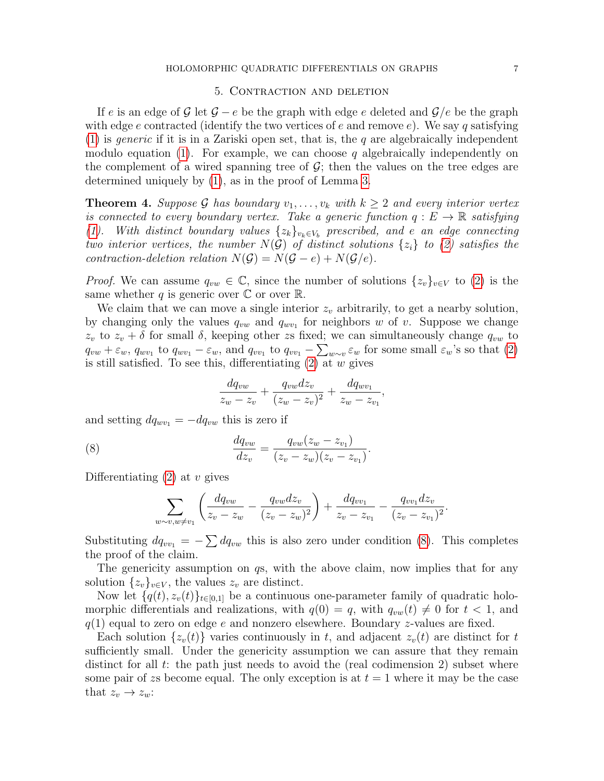#### 5. Contraction and deletion

<span id="page-6-0"></span>If e is an edge of G let  $G - e$  be the graph with edge e deleted and  $G/e$  be the graph with edge e contracted (identify the two vertices of e and remove e). We say q satisfying [\(1\)](#page-0-0) is *generic* if it is in a Zariski open set, that is, the q are algebraically independent modulo equation [\(1\)](#page-0-0). For example, we can choose q algebraically independently on the complement of a wired spanning tree of  $\mathcal{G}$ ; then the values on the tree edges are determined uniquely by [\(1\)](#page-0-0), as in the proof of Lemma [3.](#page-2-0)

<span id="page-6-2"></span>**Theorem 4.** Suppose G has boundary  $v_1, \ldots, v_k$  with  $k \geq 2$  and every interior vertex is connected to every boundary vertex. Take a generic function  $q : E \to \mathbb{R}$  satisfying [\(1\)](#page-0-0). With distinct boundary values  $\{z_k\}_{v_k\in V_b}$  prescribed, and e an edge connecting two interior vertices, the number  $N(\mathcal{G})$  of distinct solutions  $\{z_i\}$  to [\(2\)](#page-0-1) satisfies the contraction-deletion relation  $N(\mathcal{G}) = N(\mathcal{G} - e) + N(\mathcal{G}/e)$ .

*Proof.* We can assume  $q_{vw} \in \mathbb{C}$ , since the number of solutions  $\{z_v\}_{v\in V}$  to [\(2\)](#page-0-1) is the same whether q is generic over  $\mathbb C$  or over  $\mathbb R$ .

We claim that we can move a single interior  $z<sub>v</sub>$  arbitrarily, to get a nearby solution, by changing only the values  $q_{vw}$  and  $q_{wv_1}$  for neighbors w of v. Suppose we change  $z_v$  to  $z_v + \delta$  for small  $\delta$ , keeping other zs fixed; we can simultaneously change  $q_{vw}$  to  $q_{vw} + \varepsilon_w$ ,  $q_{wv_1}$  to  $q_{wv_1} - \varepsilon_w$ , and  $q_{vv_1}$  to  $q_{vv_1} - \sum_{w \sim v} \varepsilon_w$  for some small  $\varepsilon_w$ 's so that  $(2)$ is still satisfied. To see this, differentiating  $(2)$  at w gives

<span id="page-6-1"></span>
$$
\frac{dq_{vw}}{z_w - z_v} + \frac{q_{vw}dz_v}{(z_w - z_v)^2} + \frac{dq_{wv_1}}{z_w - z_{v_1}}
$$

,

and setting  $dq_{wv_1} = -dq_{vw}$  this is zero if

(8) 
$$
\frac{dq_{vw}}{dz_v} = \frac{q_{vw}(z_w - z_{v_1})}{(z_v - z_w)(z_v - z_{v_1})}.
$$

Differentiating  $(2)$  at v gives

$$
\sum_{w \sim v, w \neq v_1} \left( \frac{dq_{vw}}{z_v - z_w} - \frac{q_{vw}dz_v}{(z_v - z_w)^2} \right) + \frac{dq_{vv_1}}{z_v - z_{v_1}} - \frac{q_{vv_1}dz_v}{(z_v - z_{v_1})^2}.
$$

Substituting  $dq_{vv_1} = -\sum dq_{vw}$  this is also zero under condition [\(8\)](#page-6-1). This completes the proof of the claim.

The genericity assumption on  $q_s$ , with the above claim, now implies that for any solution  $\{z_v\}_{v\in V}$ , the values  $z_v$  are distinct.

Now let  $\{q(t), z_v(t)\}_{t\in[0,1]}$  be a continuous one-parameter family of quadratic holomorphic differentials and realizations, with  $q(0) = q$ , with  $q_{vw}(t) \neq 0$  for  $t < 1$ , and  $q(1)$  equal to zero on edge e and nonzero elsewhere. Boundary z-values are fixed.

Each solution  $\{z_v(t)\}\$  varies continuously in t, and adjacent  $z_v(t)$  are distinct for t sufficiently small. Under the genericity assumption we can assure that they remain distinct for all  $t$ : the path just needs to avoid the (real codimension 2) subset where some pair of zs become equal. The only exception is at  $t = 1$  where it may be the case that  $z_v \to z_w$ :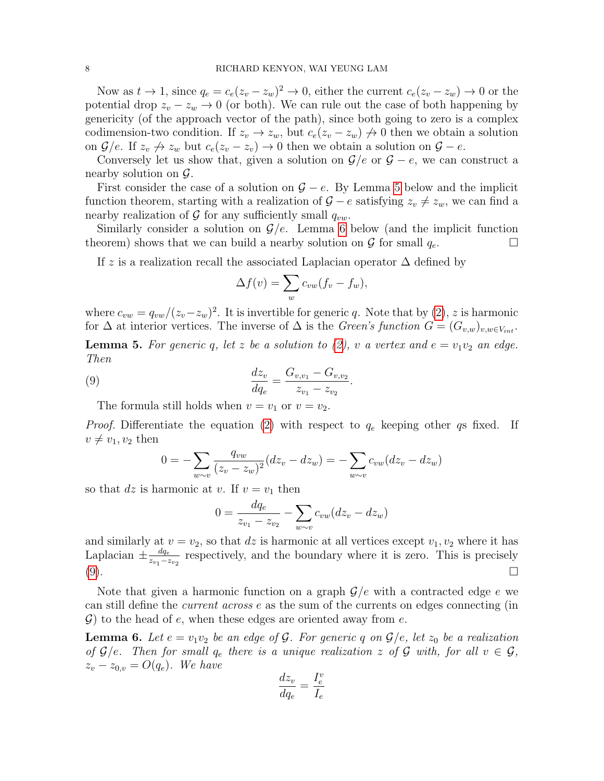Now as  $t \to 1$ , since  $q_e = c_e(z_v - z_w)^2 \to 0$ , either the current  $c_e(z_v - z_w) \to 0$  or the potential drop  $z_v - z_w \rightarrow 0$  (or both). We can rule out the case of both happening by genericity (of the approach vector of the path), since both going to zero is a complex codimension-two condition. If  $z_v \to z_w$ , but  $c_e(z_v - z_w) \to 0$  then we obtain a solution on  $\mathcal{G}/e$ . If  $z_v \nrightarrow z_w$  but  $c_e(z_v - z_v) \rightarrow 0$  then we obtain a solution on  $\mathcal{G} - e$ .

Conversely let us show that, given a solution on  $\mathcal{G}/e$  or  $\mathcal{G} - e$ , we can construct a nearby solution on  $\mathcal{G}$ .

First consider the case of a solution on  $\mathcal{G} - e$ . By Lemma [5](#page-7-0) below and the implicit function theorem, starting with a realization of  $G - e$  satisfying  $z_v \neq z_w$ , we can find a nearby realization of  $\mathcal G$  for any sufficiently small  $q_{vw}$ .

Similarly consider a solution on  $\mathcal{G}/e$ . Lemma [6](#page-7-1) below (and the implicit function theorem) shows that we can build a nearby solution on  $\mathcal G$  for small  $q_e$ .

If z is a realization recall the associated Laplacian operator  $\Delta$  defined by

<span id="page-7-2"></span>
$$
\Delta f(v) = \sum_{w} c_{vw} (f_v - f_w),
$$

where  $c_{vw} = q_{vw}/(z_v - z_w)^2$ . It is invertible for generic q. Note that by [\(2\)](#page-0-1), z is harmonic for  $\Delta$  at interior vertices. The inverse of  $\Delta$  is the *Green's function*  $G = (G_{v,w})_{v,w \in V_{int}}$ .

<span id="page-7-0"></span>**Lemma 5.** For generic q, let z be a solution to [\(2\)](#page-0-1), v a vertex and  $e = v_1v_2$  an edge. Then

(9) 
$$
\frac{dz_v}{dq_e} = \frac{G_{v,v_1} - G_{v,v_2}}{z_{v_1} - z_{v_2}}.
$$

The formula still holds when  $v = v_1$  or  $v = v_2$ .

*Proof.* Differentiate the equation [\(2\)](#page-0-1) with respect to  $q_e$  keeping other qs fixed. If  $v \neq v_1, v_2$  then

$$
0 = -\sum_{w \sim v} \frac{q_{vw}}{(z_v - z_w)^2} (dz_v - dz_w) = -\sum_{w \sim v} c_{vw} (dz_v - dz_w)
$$

so that dz is harmonic at v. If  $v = v_1$  then

$$
0 = \frac{dq_e}{z_{v_1} - z_{v_2}} - \sum_{w \sim v} c_{vw}(dz_v - dz_w)
$$

and similarly at  $v = v_2$ , so that dz is harmonic at all vertices except  $v_1, v_2$  where it has Laplacian  $\pm \frac{dq_e}{q}$  $\frac{dq_e}{z_{v_1}-z_{v_2}}$  respectively, and the boundary where it is zero. This is precisely  $(9).$  $(9).$ 

Note that given a harmonic function on a graph  $\mathcal{G}/e$  with a contracted edge e we can still define the current across e as the sum of the currents on edges connecting (in  $\mathcal{G}$ ) to the head of e, when these edges are oriented away from e.

<span id="page-7-1"></span>**Lemma 6.** Let  $e = v_1v_2$  be an edge of G. For generic q on  $\mathcal{G}/e$ , let  $z_0$  be a realization of  $\mathcal{G}/e$ . Then for small  $q_e$  there is a unique realization z of  $\mathcal{G}$  with, for all  $v \in \mathcal{G}$ ,  $z_v - z_{0,v} = O(q_e)$ . We have

$$
\frac{dz_v}{dq_e} = \frac{I_e^v}{I_e}
$$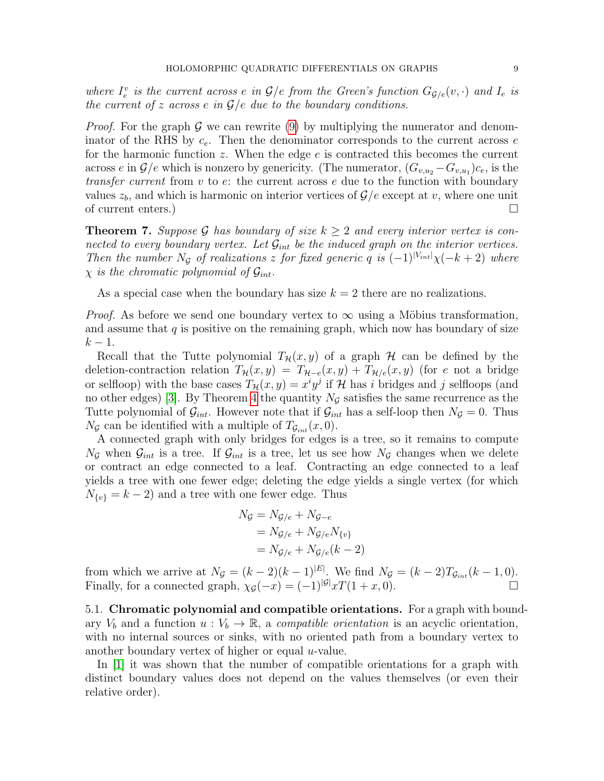where  $I_e^v$  is the current across e in  $\mathcal{G}/e$  from the Green's function  $G_{\mathcal{G}/e}(v, \cdot)$  and  $I_e$  is the current of z across e in  $\mathcal{G}/e$  due to the boundary conditions.

*Proof.* For the graph  $\mathcal G$  we can rewrite [\(9\)](#page-7-2) by multiplying the numerator and denominator of the RHS by  $c_e$ . Then the denominator corresponds to the current across  $e$ for the harmonic function  $z$ . When the edge  $e$  is contracted this becomes the current across e in  $\mathcal{G}/e$  which is nonzero by genericity. (The numerator,  $(G_{v,u_2} - G_{v,u_1})c_e$ , is the *transfer current* from  $v$  to  $e$ : the current across  $e$  due to the function with boundary values  $z_b$ , and which is harmonic on interior vertices of  $\mathcal{G}/e$  except at v, where one unit of current enters.)  $\Box$ 

<span id="page-8-1"></span>**Theorem 7.** Suppose G has boundary of size  $k \geq 2$  and every interior vertex is connected to every boundary vertex. Let  $\mathcal{G}_{int}$  be the induced graph on the interior vertices. Then the number  $N_g$  of realizations z for fixed generic q is  $(-1)^{|V_{int}|}\chi(-k+2)$  where  $\chi$  is the chromatic polynomial of  $\mathcal{G}_{int}$ .

As a special case when the boundary has size  $k = 2$  there are no realizations.

*Proof.* As before we send one boundary vertex to  $\infty$  using a Möbius transformation, and assume that  $q$  is positive on the remaining graph, which now has boundary of size  $k-1$ .

Recall that the Tutte polynomial  $T_{\mathcal{H}}(x, y)$  of a graph  $\mathcal{H}$  can be defined by the deletion-contraction relation  $T_{\mathcal{H}}(x, y) = T_{\mathcal{H}-e}(x, y) + T_{\mathcal{H}/e}(x, y)$  (for e not a bridge or selfloop) with the base cases  $T_{\mathcal{H}}(x, y) = x^i y^j$  if  $\mathcal{H}$  has i bridges and j selfloops (and no other edges) [\[3\]](#page-10-5). By Theorem [4](#page-6-2) the quantity  $N<sub>G</sub>$  satisfies the same recurrence as the Tutte polynomial of  $\mathcal{G}_{int}$ . However note that if  $\mathcal{G}_{int}$  has a self-loop then  $N_{\mathcal{G}} = 0$ . Thus  $N_{\mathcal{G}}$  can be identified with a multiple of  $T_{\mathcal{G}_{int}}(x,0)$ .

A connected graph with only bridges for edges is a tree, so it remains to compute  $N_{\mathcal{G}}$  when  $\mathcal{G}_{int}$  is a tree. If  $\mathcal{G}_{int}$  is a tree, let us see how  $N_{\mathcal{G}}$  changes when we delete or contract an edge connected to a leaf. Contracting an edge connected to a leaf yields a tree with one fewer edge; deleting the edge yields a single vertex (for which  $N_{\{v\}} = k - 2$  and a tree with one fewer edge. Thus

$$
N_{\mathcal{G}} = N_{\mathcal{G}/e} + N_{\mathcal{G}-e}
$$
  
= 
$$
N_{\mathcal{G}/e} + N_{\mathcal{G}/e} N_{\{v\}}
$$
  
= 
$$
N_{\mathcal{G}/e} + N_{\mathcal{G}/e}(k-2)
$$

from which we arrive at  $N_g = (k-2)(k-1)^{|E|}$ . We find  $N_g = (k-2)T_{g_{int}}(k-1,0)$ . Finally, for a connected graph,  $\chi_{\mathcal{G}}(-x) = (-1)^{|\mathcal{G}|} x T(1+x, 0)$ .

5.1. Chromatic polynomial and compatible orientations. For a graph with boundary  $V_b$  and a function  $u: V_b \to \mathbb{R}$ , a *compatible orientation* is an acyclic orientation, with no internal sources or sinks, with no oriented path from a boundary vertex to another boundary vertex of higher or equal  $u$ -value.

<span id="page-8-0"></span>In [\[1\]](#page-10-0) it was shown that the number of compatible orientations for a graph with distinct boundary values does not depend on the values themselves (or even their relative order).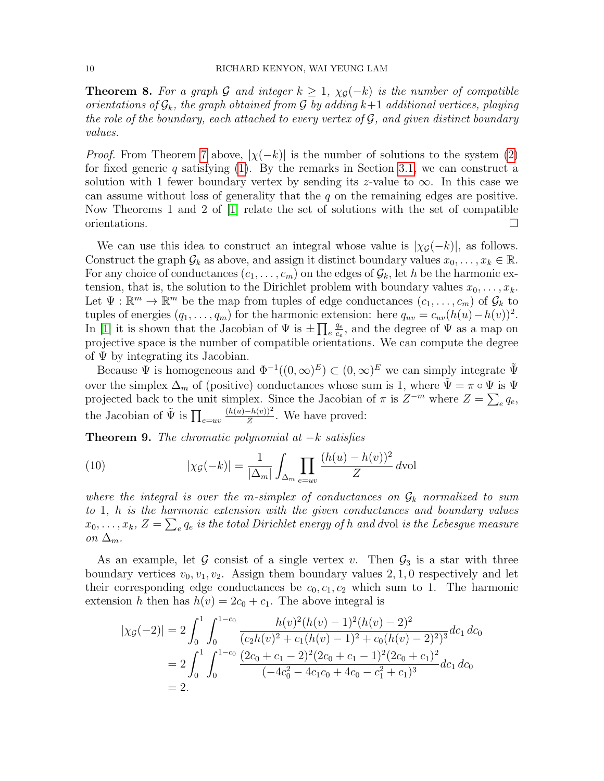**Theorem 8.** For a graph G and integer  $k \geq 1$ ,  $\chi_{\mathcal{G}}(-k)$  is the number of compatible orientations of  $\mathcal{G}_k$ , the graph obtained from  $\mathcal G$  by adding  $k+1$  additional vertices, playing the role of the boundary, each attached to every vertex of  $\mathcal G$ , and given distinct boundary values.

*Proof.* From Theorem [7](#page-8-1) above,  $|\chi(-k)|$  is the number of solutions to the system [\(2\)](#page-0-1) for fixed generic q satisfying  $(1)$ . By the remarks in Section [3.1,](#page-1-1) we can construct a solution with 1 fewer boundary vertex by sending its z-value to  $\infty$ . In this case we can assume without loss of generality that the q on the remaining edges are positive. Now Theorems 1 and 2 of [\[1\]](#page-10-0) relate the set of solutions with the set of compatible orientations.  $\Box$ 

We can use this idea to construct an integral whose value is  $|\chi_{\mathcal{G}}(-k)|$ , as follows. Construct the graph  $\mathcal{G}_k$  as above, and assign it distinct boundary values  $x_0, \ldots, x_k \in \mathbb{R}$ . For any choice of conductances  $(c_1, \ldots, c_m)$  on the edges of  $\mathcal{G}_k$ , let h be the harmonic extension, that is, the solution to the Dirichlet problem with boundary values  $x_0, \ldots, x_k$ . Let  $\Psi: \mathbb{R}^m \to \mathbb{R}^m$  be the map from tuples of edge conductances  $(c_1, \ldots, c_m)$  of  $\mathcal{G}_k$  to tuples of energies  $(q_1, \ldots, q_m)$  for the harmonic extension: here  $q_{uv} = c_{uv}(h(u) - h(v))^2$ . In [\[1\]](#page-10-0) it is shown that the Jacobian of  $\Psi$  is  $\pm \prod_{e}$ qe  $\frac{q_e}{c_e}$ , and the degree of  $\Psi$  as a map on projective space is the number of compatible orientations. We can compute the degree of  $\Psi$  by integrating its Jacobian.

Because  $\Psi$  is homogeneous and  $\Phi^{-1}((0,\infty)^E) \subset (0,\infty)^E$  we can simply integrate  $\tilde{\Psi}$ over the simplex  $\Delta_m$  of (positive) conductances whose sum is 1, where  $\tilde{\Psi} = \pi \circ \Psi$  is  $\Psi$ projected back to the unit simplex. Since the Jacobian of  $\pi$  is  $Z^{-m}$  where  $Z = \sum_{e} q_e$ , the Jacobian of  $\tilde{\Psi}$  is  $\prod_{e=uv}$  $(h(u)-h(v))^2$  $\frac{-h(v))^{2}}{Z}$ . We have proved:

<span id="page-9-0"></span>**Theorem 9.** The chromatic polynomial at  $-k$  satisfies

<span id="page-9-1"></span>(10) 
$$
|\chi_{\mathcal{G}}(-k)| = \frac{1}{|\Delta_m|} \int_{\Delta_m} \prod_{e=uv} \frac{(h(u) - h(v))^2}{Z} dvol
$$

where the integral is over the m-simplex of conductances on  $\mathcal{G}_k$  normalized to sum to 1, h is the harmonic extension with the given conductances and boundary values  $x_0, \ldots, x_k,$   $Z = \sum_e q_e$  is the total Dirichlet energy of  $h$  and dvol is the Lebesgue measure on  $\Delta_m$ .

As an example, let G consist of a single vertex v. Then  $\mathcal{G}_3$  is a star with three boundary vertices  $v_0, v_1, v_2$ . Assign them boundary values 2, 1, 0 respectively and let their corresponding edge conductances be  $c_0, c_1, c_2$  which sum to 1. The harmonic extension h then has  $h(v) = 2c_0 + c_1$ . The above integral is

$$
|\chi_{\mathcal{G}}(-2)| = 2 \int_0^1 \int_0^{1-c_0} \frac{h(v)^2 (h(v) - 1)^2 (h(v) - 2)^2}{(c_2 h(v)^2 + c_1 (h(v) - 1)^2 + c_0 (h(v) - 2)^2)^3} dc_1 dc_0
$$
  
= 
$$
2 \int_0^1 \int_0^{1-c_0} \frac{(2c_0 + c_1 - 2)^2 (2c_0 + c_1 - 1)^2 (2c_0 + c_1)^2}{(-4c_0^2 - 4c_1c_0 + 4c_0 - c_1^2 + c_1)^3} dc_1 dc_0
$$
  
= 2.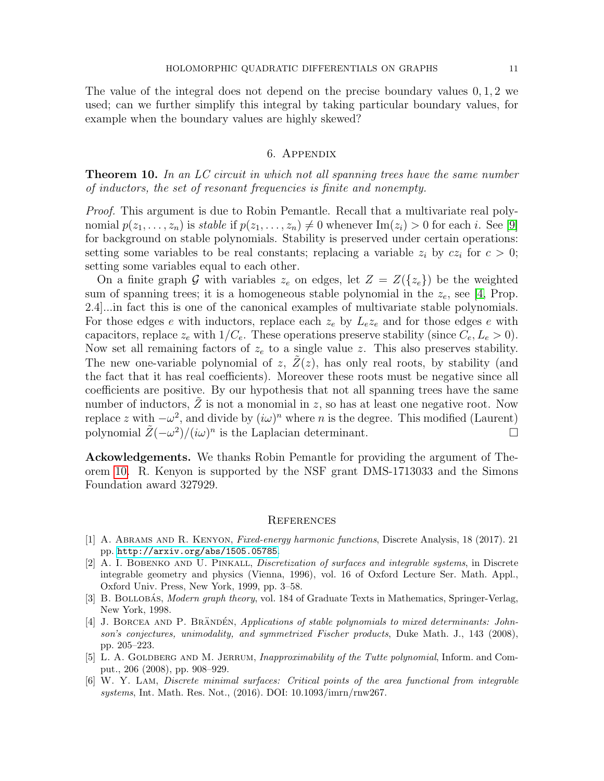The value of the integral does not depend on the precise boundary values 0, 1, 2 we used; can we further simplify this integral by taking particular boundary values, for example when the boundary values are highly skewed?

## 6. Appendix

<span id="page-10-4"></span>**Theorem 10.** In an LC circuit in which not all spanning trees have the same number of inductors, the set of resonant frequencies is finite and nonempty.

Proof. This argument is due to Robin Pemantle. Recall that a multivariate real polynomial  $p(z_1, \ldots, z_n)$  is stable if  $p(z_1, \ldots, z_n) \neq 0$  whenever  $\text{Im}(z_i) > 0$  for each i. See [\[9\]](#page-11-2) for background on stable polynomials. Stability is preserved under certain operations: setting some variables to be real constants; replacing a variable  $z_i$  by  $cz_i$  for  $c > 0$ ; setting some variables equal to each other.

On a finite graph G with variables  $z_e$  on edges, let  $Z = Z({z_e})$  be the weighted sum of spanning trees; it is a homogeneous stable polynomial in the  $z_e$ , see [\[4,](#page-10-6) Prop. 2.4]...in fact this is one of the canonical examples of multivariate stable polynomials. For those edges e with inductors, replace each  $z_e$  by  $L_e z_e$  and for those edges e with capacitors, replace  $z_e$  with  $1/C_e$ . These operations preserve stability (since  $C_e, L_e > 0$ ). Now set all remaining factors of  $z_e$  to a single value z. This also preserves stability. The new one-variable polynomial of  $z$ ,  $Z(z)$ , has only real roots, by stability (and the fact that it has real coefficients). Moreover these roots must be negative since all coefficients are positive. By our hypothesis that not all spanning trees have the same number of inductors,  $Z$  is not a monomial in  $z$ , so has at least one negative root. Now replace z with  $-\omega^2$ , and divide by  $(i\omega)^n$  where n is the degree. This modified (Laurent) polynomial  $\tilde{Z}(-\omega^2)/(i\omega)^n$  is the Laplacian determinant.

Ackowledgements. We thanks Robin Pemantle for providing the argument of Theorem [10.](#page-10-4) R. Kenyon is supported by the NSF grant DMS-1713033 and the Simons Foundation award 327929.

#### **REFERENCES**

- <span id="page-10-0"></span>[1] A. Abrams and R. Kenyon, Fixed-energy harmonic functions, Discrete Analysis, 18 (2017). 21 pp. <http://arxiv.org/abs/1505.05785>.
- <span id="page-10-3"></span>[2] A. I. BOBENKO AND U. PINKALL, *Discretization of surfaces and integrable systems*, in Discrete integrable geometry and physics (Vienna, 1996), vol. 16 of Oxford Lecture Ser. Math. Appl., Oxford Univ. Press, New York, 1999, pp. 3–58.
- <span id="page-10-5"></span>[3] B. BOLLOBAS, *Modern graph theory*, vol. 184 of Graduate Texts in Mathematics, Springer-Verlag, New York, 1998.
- <span id="page-10-6"></span>[4] J. BORCEA AND P. BRÄNDÉN, Applications of stable polynomials to mixed determinants: Johnson's conjectures, unimodality, and symmetrized Fischer products, Duke Math. J., 143 (2008), pp. 205–223.
- <span id="page-10-1"></span>[5] L. A. GOLDBERG AND M. JERRUM, *Inapproximability of the Tutte polynomial*, Inform. and Comput., 206 (2008), pp. 908–929.
- <span id="page-10-2"></span>[6] W. Y. Lam, Discrete minimal surfaces: Critical points of the area functional from integrable systems, Int. Math. Res. Not., (2016). DOI: 10.1093/imrn/rnw267.